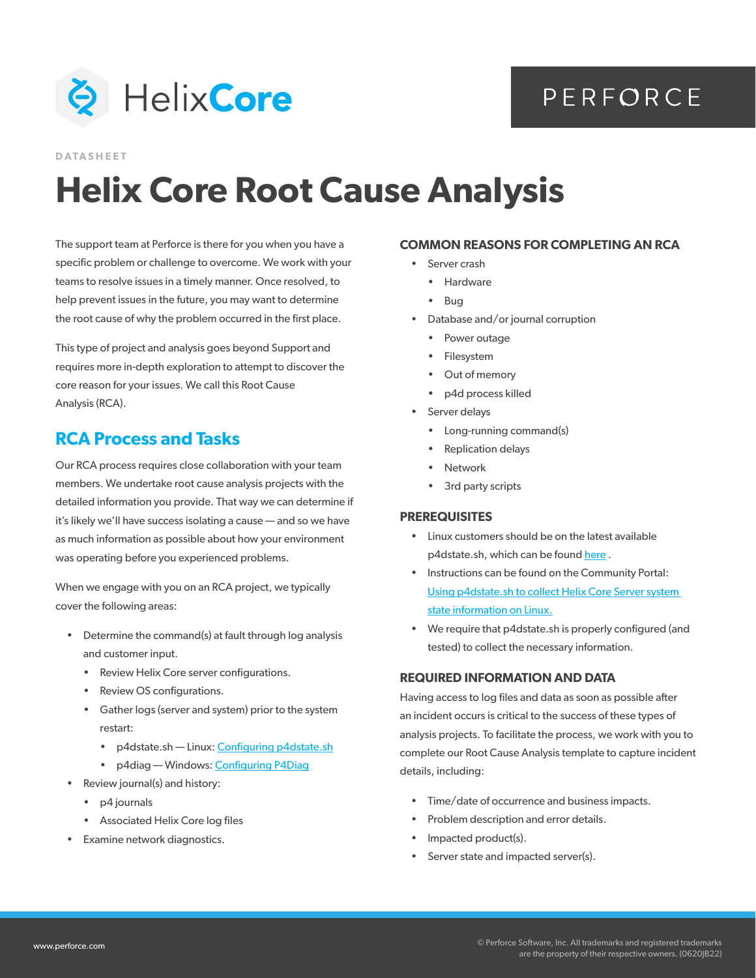

## PERFORCE

**DATASHEET**

# **Helix Core Root Cause Analysis**

The support team at Perforce is there for you when you have a specific problem or challenge to overcome. We work with your teams to resolve issues in a timely manner. Once resolved, to help prevent issues in the future, you may want to determine the root cause of why the problem occurred in the first place.

This type of project and analysis goes beyond Support and requires more in-depth exploration to attempt to discover the core reason for your issues. We call this Root Cause Analysis (RCA).

## **RCA Process and Tasks**

Our RCA process requires close collaboration with your team members. We undertake root cause analysis projects with the detailed information you provide. That way we can determine if it's likely we'll have success isolating a cause — and so we have as much information as possible about how your environment was operating before you experienced problems.

When we engage with you on an RCA project, we typically cover the following areas:

- Determine the command(s) at fault through log analysis and customer input.
	- Review Helix Core server configurations.
	- Review OS configurations.
	- Gather logs (server and system) prior to the system restart:
		- p4dstate.sh Linux: [Configuring p4dstate.sh](https://portal.perforce.com/s/article/15261)
		- p4diag Windows: [Configuring P4Diag](https://p1community.force.com/Community2/s/article/17317)
- Review journal(s) and history:
	- p4 journals
	- Associated Helix Core log files
- Examine network diagnostics.

#### **COMMON REASONS FOR COMPLETING AN RCA**

- Server crash
	- Hardware
	- Bug
- Database and/or journal corruption
	- Power outage
	- **Filesystem**
	- Out of memory
	- p4d process killed
- Server delays
	- Long-running command(s)
	- Replication delays
	- **Network**
	- 3rd party scripts

#### **PREREQUISITES**

- Linux customers should be on the latest available p4dstate.sh, which can be found [here](http://ftp.perforce.com/perforce/tools/p4dstate/) .
- Instructions can be found on the Community Portal: [Using p4dstate.sh to collect Helix Core Server system](https://portal.perforce.com/s/article/15261)  [state information on Linux.](https://portal.perforce.com/s/article/15261)
- We require that p4dstate.sh is properly configured (and tested) to collect the necessary information.

#### **REQUIRED INFORMATION AND DATA**

Having access to log files and data as soon as possible after an incident occurs is critical to the success of these types of analysis projects. To facilitate the process, we work with you to complete our Root Cause Analysis template to capture incident details, including:

- Time/date of occurrence and business impacts.
- Problem description and error details.
- Impacted product(s).
- Server state and impacted server(s).